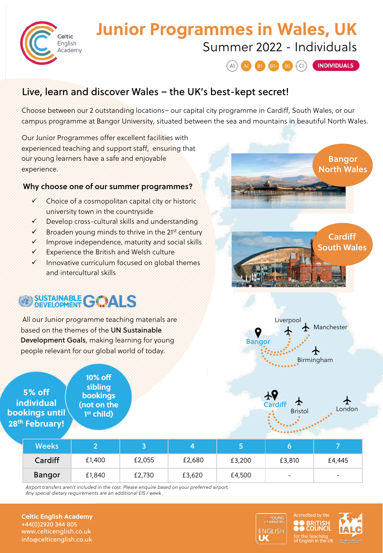

## **Junior Programmes in Wales, UK** Summer 2022 - Individuals



### Live, learn and discover Wales – the UK's best-kept secret!

Choose between our 2 outstanding locations– our capital city programme in Cardiff, South Wales, or our campus programme at Bangor University, situated between the sea and mountains in beautiful North Wales.

Our Junior Programmes offer excellent facilities with experienced teaching and support staff, ensuring that our young learners have a safe and enjoyable experience.

#### Why choose one of our summer programmes?

- $\checkmark$  Choice of a cosmopolitan capital city or historic university town in the countryside
- Develop cross-cultural skills and understanding
- $\checkmark$  Broaden young minds to thrive in the 21<sup>st</sup> century
- $\checkmark$  Improve independence, maturity and social skills
- $\checkmark$  Experience the British and Welsh culture
- $\checkmark$  Innovative curriculum focused on global themes and intercultural skills

# SUSTAINABLE GOALS

All our Junior programme teaching materials are based on the themes of the UN Sustainable Development Goals, making learning for young people relevant for our global world of today.

**5% off individual bookings until 28th February!**

**10% off sibling bookings (not on the 1st child)**



Bangor





| Weeks         |        |        |        |        |                          |                          |
|---------------|--------|--------|--------|--------|--------------------------|--------------------------|
| Cardiff       | £1,400 | £2,055 | £2,680 | £3,200 | £3,810                   | £4,445                   |
| <b>Bangor</b> | £1,840 | £2,730 | £3,620 | £4,500 | $\overline{\phantom{a}}$ | $\overline{\phantom{0}}$ |

*Airport transfers aren't included in the cost. Please enquire based on your preferred airport. Any special dietary requirements are an additional £15 / week .*

**Celtic English Academy** +44(0)2920 344 805 www.celticenglish.co.uk info@celticenglish.co.uk